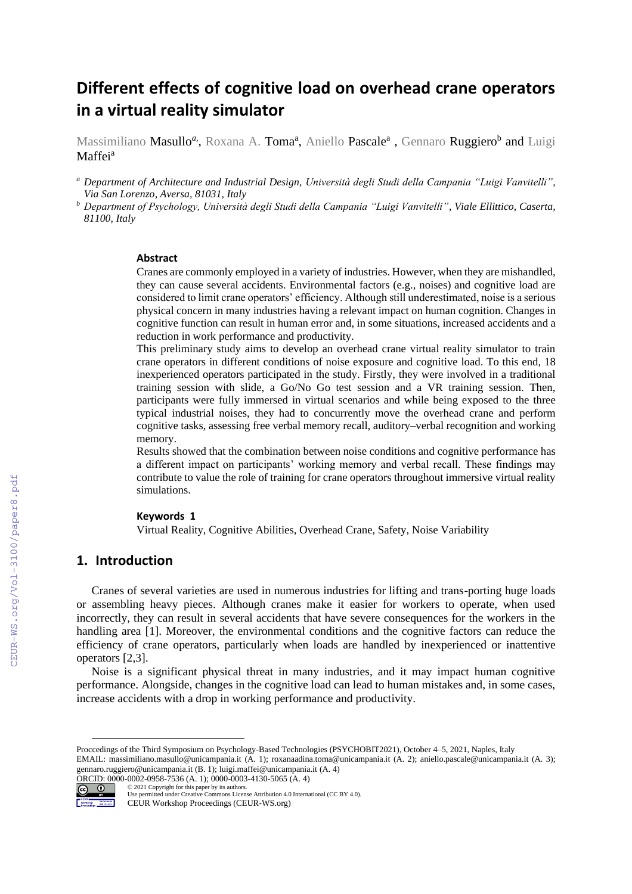# **Different effects of cognitive load on overhead crane operators in a virtual reality simulator**

Massimiliano **Masullo<sup>a</sup>,** Roxana A. **Toma<sup>a</sup>,** Aniello **Pascale<sup>a</sup> ,** Gennaro **Ruggiero<sup>b</sup> and** Luigi Maffei<sup>a</sup>

- *<sup>a</sup> Department of Architecture and Industrial Design, Università degli Studi della Campania "Luigi Vanvitelli", Via San Lorenzo, Aversa, 81031, Italy*
- *<sup>b</sup> Department of Psychology, Università degli Studi della Campania "Luigi Vanvitelli", Viale Ellittico, Caserta, 81100, Italy*

#### **Abstract**

Cranes are commonly employed in a variety of industries. However, when they are mishandled, they can cause several accidents. Environmental factors (e.g., noises) and cognitive load are considered to limit crane operators' efficiency. Although still underestimated, noise is a serious physical concern in many industries having a relevant impact on human cognition. Changes in cognitive function can result in human error and, in some situations, increased accidents and a reduction in work performance and productivity.

This preliminary study aims to develop an overhead crane virtual reality simulator to train crane operators in different conditions of noise exposure and cognitive load. To this end, 18 inexperienced operators participated in the study. Firstly, they were involved in a traditional training session with slide, a Go/No Go test session and a VR training session. Then, participants were fully immersed in virtual scenarios and while being exposed to the three typical industrial noises, they had to concurrently move the overhead crane and perform cognitive tasks, assessing free verbal memory recall, auditory–verbal recognition and working memory.

Results showed that the combination between noise conditions and cognitive performance has a different impact on participants' working memory and verbal recall. These findings may contribute to value the role of training for crane operators throughout immersive virtual reality simulations.

#### **Keywords 1**

Virtual Reality, Cognitive Abilities, Overhead Crane, Safety, Noise Variability

# **1. Introduction**

Cranes of several varieties are used in numerous industries for lifting and trans-porting huge loads or assembling heavy pieces. Although cranes make it easier for workers to operate, when used incorrectly, they can result in several accidents that have severe consequences for the workers in the handling area [1]. Moreover, the environmental conditions and the cognitive factors can reduce the efficiency of crane operators, particularly when loads are handled by inexperienced or inattentive operators [2,3].

Noise is a significant physical threat in many industries, and it may impact human cognitive performance. Alongside, changes in the cognitive load can lead to human mistakes and, in some cases, increase accidents with a drop in working performance and productivity.

Proccedings of the Third Symposium on Psychology-Based Technologies (PSYCHOBIT2021), October 4–5, 2021, Naples, Italy EMAIL: [massimiliano.masullo@unicampania.it](mailto:massimiliano.masullo@unicampania.it) (A. 1); roxanaadina.toma@unicampania.it (A. 2); aniello.pascale@unicampania.it (A. 3); gennaro.ruggiero@unicampania.it (B. 1); luigi.maffei@unicampania.it (A. 4) ORCID: 0000-0002-0958-7536 (A. 1); 0000-0003-4130-5065 (A. 4)<br>  $\odot$  0 2021 Copyright for this paper by its authors.



Use permitted under Creative Commons License Attribution 4.0 International (CC BY 4.0). CEUR Workshop Proceedings (CEUR-WS.org)

©️ 2021 Copyright for this paper by its authors.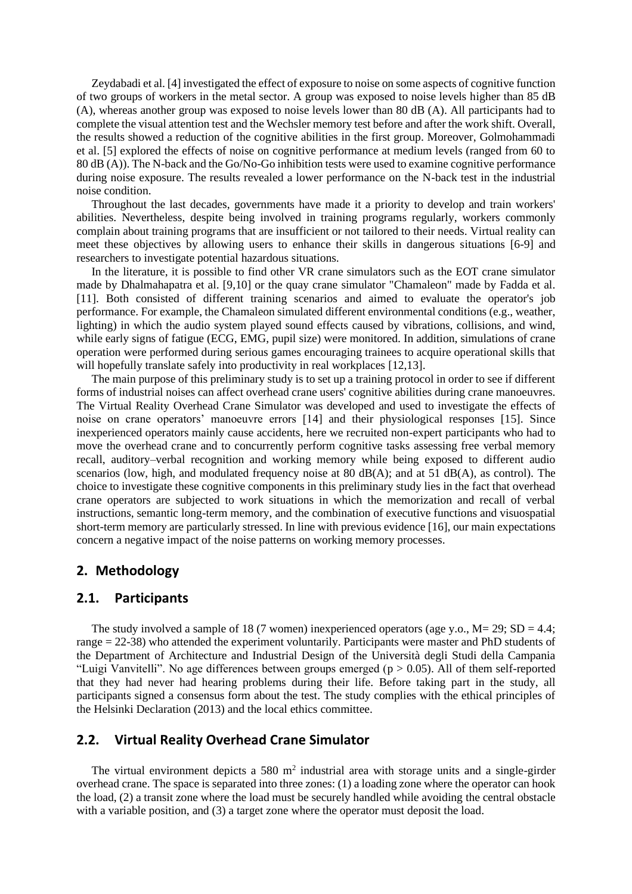Zeydabadi et al. [4] investigated the effect of exposure to noise on some aspects of cognitive function of two groups of workers in the metal sector. A group was exposed to noise levels higher than 85 dB (A), whereas another group was exposed to noise levels lower than 80 dB (A). All participants had to complete the visual attention test and the Wechsler memory test before and after the work shift. Overall, the results showed a reduction of the cognitive abilities in the first group. Moreover, Golmohammadi et al. [5] explored the effects of noise on cognitive performance at medium levels (ranged from 60 to 80 dB (A)). The N-back and the Go/No-Go inhibition tests were used to examine cognitive performance during noise exposure. The results revealed a lower performance on the N-back test in the industrial noise condition.

Throughout the last decades, governments have made it a priority to develop and train workers' abilities. Nevertheless, despite being involved in training programs regularly, workers commonly complain about training programs that are insufficient or not tailored to their needs. Virtual reality can meet these objectives by allowing users to enhance their skills in dangerous situations [6-9] and researchers to investigate potential hazardous situations.

In the literature, it is possible to find other VR crane simulators such as the EOT crane simulator made by Dhalmahapatra et al. [9,10] or the quay crane simulator "Chamaleon" made by Fadda et al. [11]. Both consisted of different training scenarios and aimed to evaluate the operator's job performance. For example, the Chamaleon simulated different environmental conditions (e.g., weather, lighting) in which the audio system played sound effects caused by vibrations, collisions, and wind, while early signs of fatigue (ECG, EMG, pupil size) were monitored. In addition, simulations of crane operation were performed during serious games encouraging trainees to acquire operational skills that will hopefully translate safely into productivity in real workplaces [12,13].

The main purpose of this preliminary study is to set up a training protocol in order to see if different forms of industrial noises can affect overhead crane users' cognitive abilities during crane manoeuvres. The Virtual Reality Overhead Crane Simulator was developed and used to investigate the effects of noise on crane operators' manoeuvre errors [14] and their physiological responses [15]. Since inexperienced operators mainly cause accidents, here we recruited non-expert participants who had to move the overhead crane and to concurrently perform cognitive tasks assessing free verbal memory recall, auditory–verbal recognition and working memory while being exposed to different audio scenarios (low, high, and modulated frequency noise at 80  $dB(A)$ ; and at 51  $dB(A)$ , as control). The choice to investigate these cognitive components in this preliminary study lies in the fact that overhead crane operators are subjected to work situations in which the memorization and recall of verbal instructions, semantic long-term memory, and the combination of executive functions and visuospatial short-term memory are particularly stressed. In line with previous evidence [16], our main expectations concern a negative impact of the noise patterns on working memory processes.

#### **2. Methodology**

# **2.1. Participants**

The study involved a sample of 18 (7 women) inexperienced operators (age y.o.,  $M = 29$ ;  $SD = 4.4$ ; range = 22-38) who attended the experiment voluntarily. Participants were master and PhD students of the Department of Architecture and Industrial Design of the Università degli Studi della Campania "Luigi Vanvitelli". No age differences between groups emerged ( $p > 0.05$ ). All of them self-reported that they had never had hearing problems during their life. Before taking part in the study, all participants signed a consensus form about the test. The study complies with the ethical principles of the Helsinki Declaration (2013) and the local ethics committee.

# **2.2. Virtual Reality Overhead Crane Simulator**

The virtual environment depicts a 580  $m<sup>2</sup>$  industrial area with storage units and a single-girder overhead crane. The space is separated into three zones: (1) a loading zone where the operator can hook the load, (2) a transit zone where the load must be securely handled while avoiding the central obstacle with a variable position, and (3) a target zone where the operator must deposit the load.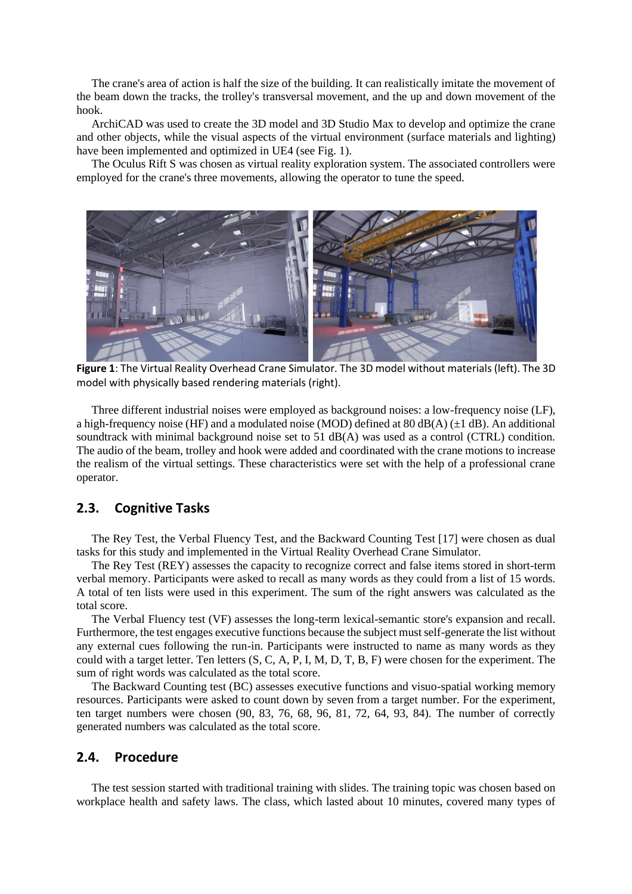The crane's area of action is half the size of the building. It can realistically imitate the movement of the beam down the tracks, the trolley's transversal movement, and the up and down movement of the hook.

ArchiCAD was used to create the 3D model and 3D Studio Max to develop and optimize the crane and other objects, while the visual aspects of the virtual environment (surface materials and lighting) have been implemented and optimized in UE4 (see Fig. 1).

The Oculus Rift S was chosen as virtual reality exploration system. The associated controllers were employed for the crane's three movements, allowing the operator to tune the speed.



**Figure 1**: The Virtual Reality Overhead Crane Simulator. The 3D model without materials (left). The 3D model with physically based rendering materials (right).

Three different industrial noises were employed as background noises: a low-frequency noise (LF), a high-frequency noise (HF) and a modulated noise (MOD) defined at 80 dB(A)  $(\pm 1$  dB). An additional soundtrack with minimal background noise set to 51 dB(A) was used as a control (CTRL) condition. The audio of the beam, trolley and hook were added and coordinated with the crane motions to increase the realism of the virtual settings. These characteristics were set with the help of a professional crane operator.

# **2.3. Cognitive Tasks**

The Rey Test, the Verbal Fluency Test, and the Backward Counting Test [17] were chosen as dual tasks for this study and implemented in the Virtual Reality Overhead Crane Simulator.

The Rey Test (REY) assesses the capacity to recognize correct and false items stored in short-term verbal memory. Participants were asked to recall as many words as they could from a list of 15 words. A total of ten lists were used in this experiment. The sum of the right answers was calculated as the total score.

The Verbal Fluency test (VF) assesses the long-term lexical-semantic store's expansion and recall. Furthermore, the test engages executive functions because the subject must self-generate the list without any external cues following the run-in. Participants were instructed to name as many words as they could with a target letter. Ten letters (S, C, A, P, I, M, D, T, B, F) were chosen for the experiment. The sum of right words was calculated as the total score.

The Backward Counting test (BC) assesses executive functions and visuo-spatial working memory resources. Participants were asked to count down by seven from a target number. For the experiment, ten target numbers were chosen (90, 83, 76, 68, 96, 81, 72, 64, 93, 84). The number of correctly generated numbers was calculated as the total score.

### **2.4. Procedure**

The test session started with traditional training with slides. The training topic was chosen based on workplace health and safety laws. The class, which lasted about 10 minutes, covered many types of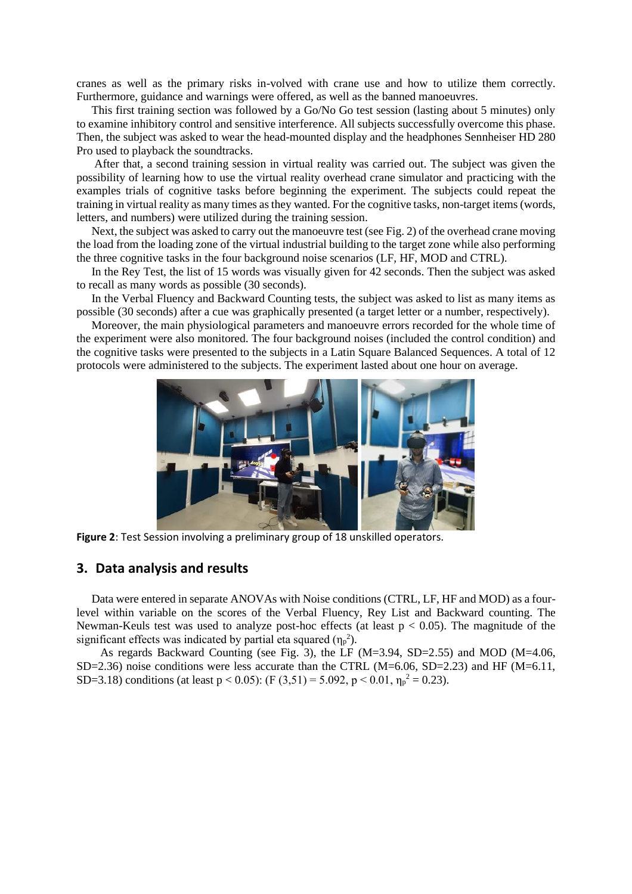cranes as well as the primary risks in-volved with crane use and how to utilize them correctly. Furthermore, guidance and warnings were offered, as well as the banned manoeuvres.

This first training section was followed by a Go/No Go test session (lasting about 5 minutes) only to examine inhibitory control and sensitive interference. All subjects successfully overcome this phase. Then, the subject was asked to wear the head-mounted display and the headphones Sennheiser HD 280 Pro used to playback the soundtracks.

After that, a second training session in virtual reality was carried out. The subject was given the possibility of learning how to use the virtual reality overhead crane simulator and practicing with the examples trials of cognitive tasks before beginning the experiment. The subjects could repeat the training in virtual reality as many times as they wanted. For the cognitive tasks, non-target items (words, letters, and numbers) were utilized during the training session.

Next, the subject was asked to carry out the manoeuvre test (see Fig. 2) of the overhead crane moving the load from the loading zone of the virtual industrial building to the target zone while also performing the three cognitive tasks in the four background noise scenarios (LF, HF, MOD and CTRL).

In the Rey Test, the list of 15 words was visually given for 42 seconds. Then the subject was asked to recall as many words as possible (30 seconds).

In the Verbal Fluency and Backward Counting tests, the subject was asked to list as many items as possible (30 seconds) after a cue was graphically presented (a target letter or a number, respectively).

Moreover, the main physiological parameters and manoeuvre errors recorded for the whole time of the experiment were also monitored. The four background noises (included the control condition) and the cognitive tasks were presented to the subjects in a Latin Square Balanced Sequences. A total of 12 protocols were administered to the subjects. The experiment lasted about one hour on average.



**Figure 2**: Test Session involving a preliminary group of 18 unskilled operators.

#### **3. Data analysis and results**

Data were entered in separate ANOVAs with Noise conditions (CTRL, LF, HF and MOD) as a fourlevel within variable on the scores of the Verbal Fluency, Rey List and Backward counting. The Newman-Keuls test was used to analyze post-hoc effects (at least  $p < 0.05$ ). The magnitude of the significant effects was indicated by partial eta squared  $(\eta_p^2)$ .

 As regards Backward Counting (see Fig. 3), the LF (M=3.94, SD=2.55) and MOD (M=4.06, SD=2.36) noise conditions were less accurate than the CTRL (M=6.06, SD=2.23) and HF (M=6.11, SD=3.18) conditions (at least  $p < 0.05$ ): (F (3,51) = 5.092,  $p < 0.01$ ,  $\eta_p^2 = 0.23$ ).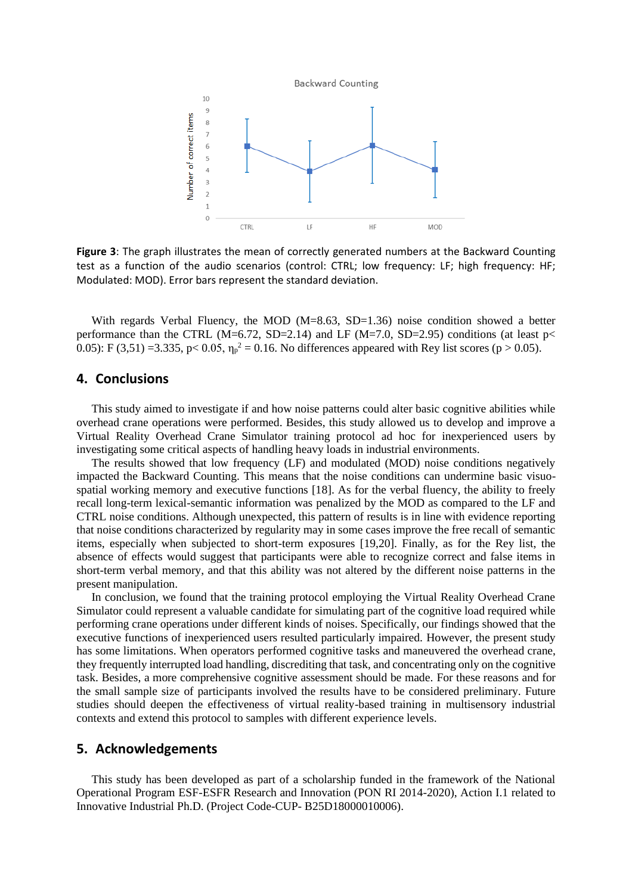

**Figure 3**: The graph illustrates the mean of correctly generated numbers at the Backward Counting test as a function of the audio scenarios (control: CTRL; low frequency: LF; high frequency: HF; Modulated: MOD). Error bars represent the standard deviation.

With regards Verbal Fluency, the MOD (M=8.63, SD=1.36) noise condition showed a better performance than the CTRL (M=6.72, SD=2.14) and LF (M=7.0, SD=2.95) conditions (at least  $p<$ 0.05): F (3,51) =3.335, p < 0.05,  $\eta_p^2 = 0.16$ . No differences appeared with Rey list scores (p > 0.05).

### **4. Conclusions**

This study aimed to investigate if and how noise patterns could alter basic cognitive abilities while overhead crane operations were performed. Besides, this study allowed us to develop and improve a Virtual Reality Overhead Crane Simulator training protocol ad hoc for inexperienced users by investigating some critical aspects of handling heavy loads in industrial environments.

The results showed that low frequency (LF) and modulated (MOD) noise conditions negatively impacted the Backward Counting. This means that the noise conditions can undermine basic visuospatial working memory and executive functions [18]. As for the verbal fluency, the ability to freely recall long-term lexical-semantic information was penalized by the MOD as compared to the LF and CTRL noise conditions. Although unexpected, this pattern of results is in line with evidence reporting that noise conditions characterized by regularity may in some cases improve the free recall of semantic items, especially when subjected to short-term exposures [19,20]. Finally, as for the Rey list, the absence of effects would suggest that participants were able to recognize correct and false items in short-term verbal memory, and that this ability was not altered by the different noise patterns in the present manipulation.

In conclusion, we found that the training protocol employing the Virtual Reality Overhead Crane Simulator could represent a valuable candidate for simulating part of the cognitive load required while performing crane operations under different kinds of noises. Specifically, our findings showed that the executive functions of inexperienced users resulted particularly impaired. However, the present study has some limitations. When operators performed cognitive tasks and maneuvered the overhead crane, they frequently interrupted load handling, discrediting that task, and concentrating only on the cognitive task. Besides, a more comprehensive cognitive assessment should be made. For these reasons and for the small sample size of participants involved the results have to be considered preliminary. Future studies should deepen the effectiveness of virtual reality-based training in multisensory industrial contexts and extend this protocol to samples with different experience levels.

## **5. Acknowledgements**

This study has been developed as part of a scholarship funded in the framework of the National Operational Program ESF-ESFR Research and Innovation (PON RI 2014-2020), Action I.1 related to Innovative Industrial Ph.D. (Project Code-CUP- B25D18000010006).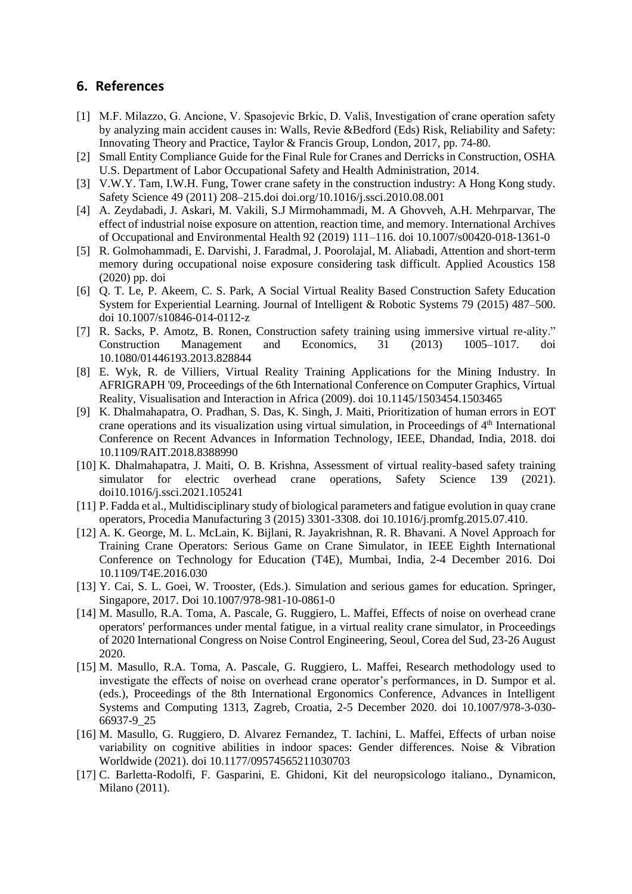## **6. References**

- [1] M.F. Milazzo, G. Ancione, V. Spasojevic Brkic, D. Vališ, Investigation of crane operation safety by analyzing main accident causes in: Walls, Revie &Bedford (Eds) Risk, Reliability and Safety: Innovating Theory and Practice, Taylor & Francis Group, London, 2017, pp. 74-80.
- [2] Small Entity Compliance Guide for the Final Rule for Cranes and Derricks in Construction, OSHA U.S. Department of Labor Occupational Safety and Health Administration, 2014.
- [3] V.W.Y. Tam, I.W.H. Fung, Tower crane safety in the construction industry: A Hong Kong study. Safety Science 49 (2011) 208–215.doi doi.org/10.1016/j.ssci.2010.08.001
- [4] A. Zeydabadi, J. Askari, M. Vakili, S.J Mirmohammadi, M. A Ghovveh, A.H. Mehrparvar, The effect of industrial noise exposure on attention, reaction time, and memory. International Archives of Occupational and Environmental Health 92 (2019) 111–116. doi 10.1007/s00420-018-1361-0
- [5] R. Golmohammadi, E. Darvishi, J. Faradmal, J. Poorolajal, M. Aliabadi, Attention and short-term memory during occupational noise exposure considering task difficult. Applied Acoustics 158 (2020) pp. doi
- [6] Q. T. Le, P. Akeem, C. S. Park, A Social Virtual Reality Based Construction Safety Education System for Experiential Learning. Journal of Intelligent & Robotic Systems 79 (2015) 487–500. doi 10.1007/s10846-014-0112-z
- [7] R. Sacks, P. Amotz, B. Ronen, Construction safety training using immersive virtual re-ality." Construction Management and Economics, 31 (2013) 1005–1017. doi 10.1080/01446193.2013.828844
- [8] E. Wyk, R. de Villiers, Virtual Reality Training Applications for the Mining Industry. In AFRIGRAPH '09, Proceedings of the 6th International Conference on Computer Graphics, Virtual Reality, Visualisation and Interaction in Africa (2009). doi 10.1145/1503454.1503465
- [9] K. Dhalmahapatra, O. Pradhan, S. Das, K. Singh, J. Maiti, Prioritization of human errors in EOT crane operations and its visualization using virtual simulation, in Proceedings of 4<sup>th</sup> International Conference on Recent Advances in Information Technology, IEEE, Dhandad, India, 2018. doi 10.1109/RAIT.2018.8388990
- [10] K. Dhalmahapatra, J. Maiti, O. B. Krishna, Assessment of virtual reality-based safety training simulator for electric overhead crane operations, Safety Science 139 (2021). doi10.1016/j.ssci.2021.105241
- [11] P. Fadda et al., Multidisciplinary study of biological parameters and fatigue evolution in quay crane operators, Procedia Manufacturing 3 (2015) 3301-3308. doi 10.1016/j.promfg.2015.07.410.
- [12] A. K. George, M. L. McLain, K. Bijlani, R. Jayakrishnan, R. R. Bhavani. A Novel Approach for Training Crane Operators: Serious Game on Crane Simulator, in IEEE Eighth International Conference on Technology for Education (T4E), Mumbai, India, 2-4 December 2016. Doi 10.1109/T4E.2016.030
- [13] Y. Cai, S. L. Goei, W. Trooster, (Eds.). Simulation and serious games for education. Springer, Singapore, 2017. Doi 10.1007/978-981-10-0861-0
- [14] M. Masullo, R.A. Toma, A. Pascale, G. Ruggiero, L. Maffei, Effects of noise on overhead crane operators' performances under mental fatigue, in a virtual reality crane simulator, in Proceedings of 2020 International Congress on Noise Control Engineering, Seoul, Corea del Sud, 23-26 August 2020.
- [15] M. Masullo, R.A. Toma, A. Pascale, G. Ruggiero, L. Maffei, Research methodology used to investigate the effects of noise on overhead crane operator's performances, in D. Sumpor et al. (eds.), Proceedings of the 8th International Ergonomics Conference, Advances in Intelligent Systems and Computing 1313, Zagreb, Croatia, 2-5 December 2020. doi 10.1007/978-3-030- 66937-9\_25
- [16] M. Masullo, G. Ruggiero, D. Alvarez Fernandez, T. Iachini, L. Maffei, Effects of urban noise variability on cognitive abilities in indoor spaces: Gender differences. Noise & Vibration Worldwide (2021). doi 10.1177/09574565211030703
- [17] C. Barletta-Rodolfi, F. Gasparini, E. Ghidoni, Kit del neuropsicologo italiano., Dynamicon, Milano (2011).